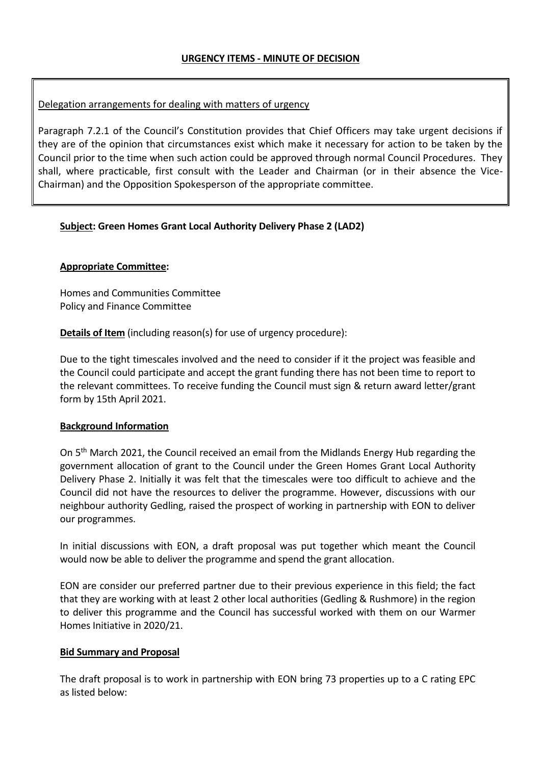## Delegation arrangements for dealing with matters of urgency

Paragraph 7.2.1 of the Council's Constitution provides that Chief Officers may take urgent decisions if they are of the opinion that circumstances exist which make it necessary for action to be taken by the Council prior to the time when such action could be approved through normal Council Procedures. They shall, where practicable, first consult with the Leader and Chairman (or in their absence the Vice-Chairman) and the Opposition Spokesperson of the appropriate committee.

#### **Subject: Green Homes Grant Local Authority Delivery Phase 2 (LAD2)**

#### **Appropriate Committee:**

Homes and Communities Committee Policy and Finance Committee

**Details of Item** (including reason(s) for use of urgency procedure):

Due to the tight timescales involved and the need to consider if it the project was feasible and the Council could participate and accept the grant funding there has not been time to report to the relevant committees. To receive funding the Council must sign & return award letter/grant form by 15th April 2021.

#### **Background Information**

On 5<sup>th</sup> March 2021, the Council received an email from the Midlands Energy Hub regarding the government allocation of grant to the Council under the Green Homes Grant Local Authority Delivery Phase 2. Initially it was felt that the timescales were too difficult to achieve and the Council did not have the resources to deliver the programme. However, discussions with our neighbour authority Gedling, raised the prospect of working in partnership with EON to deliver our programmes.

In initial discussions with EON, a draft proposal was put together which meant the Council would now be able to deliver the programme and spend the grant allocation.

EON are consider our preferred partner due to their previous experience in this field; the fact that they are working with at least 2 other local authorities (Gedling & Rushmore) in the region to deliver this programme and the Council has successful worked with them on our Warmer Homes Initiative in 2020/21.

#### **Bid Summary and Proposal**

The draft proposal is to work in partnership with EON bring 73 properties up to a C rating EPC as listed below: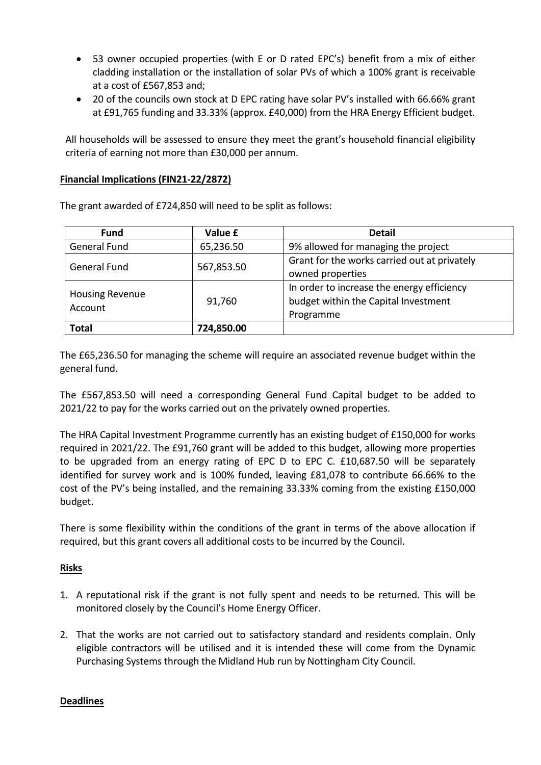- 53 owner occupied properties (with E or D rated EPC's) benefit from a mix of either cladding installation or the installation of solar PVs of which a 100% grant is receivable at a cost of £567,853 and;
- 20 of the councils own stock at D EPC rating have solar PV's installed with 66.66% grant at £91,765 funding and 33.33% (approx. £40,000) from the HRA Energy Efficient budget.

All households will be assessed to ensure they meet the grant's household financial eligibility criteria of earning not more than £30,000 per annum.

#### **Financial Implications (FIN21-22/2872)**

| <b>Fund</b>                       | Value £    | <b>Detail</b>                                                                                   |
|-----------------------------------|------------|-------------------------------------------------------------------------------------------------|
| <b>General Fund</b>               | 65,236.50  | 9% allowed for managing the project                                                             |
| <b>General Fund</b>               | 567,853.50 | Grant for the works carried out at privately<br>owned properties                                |
| <b>Housing Revenue</b><br>Account | 91,760     | In order to increase the energy efficiency<br>budget within the Capital Investment<br>Programme |
| <b>Total</b>                      | 724,850.00 |                                                                                                 |

The grant awarded of £724,850 will need to be split as follows:

The £65,236.50 for managing the scheme will require an associated revenue budget within the general fund.

The £567,853.50 will need a corresponding General Fund Capital budget to be added to 2021/22 to pay for the works carried out on the privately owned properties.

The HRA Capital Investment Programme currently has an existing budget of £150,000 for works required in 2021/22. The £91,760 grant will be added to this budget, allowing more properties to be upgraded from an energy rating of EPC D to EPC C. £10,687.50 will be separately identified for survey work and is 100% funded, leaving £81,078 to contribute 66.66% to the cost of the PV's being installed, and the remaining 33.33% coming from the existing £150,000 budget.

There is some flexibility within the conditions of the grant in terms of the above allocation if required, but this grant covers all additional costs to be incurred by the Council.

## **Risks**

- 1. A reputational risk if the grant is not fully spent and needs to be returned. This will be monitored closely by the Council's Home Energy Officer.
- 2. That the works are not carried out to satisfactory standard and residents complain. Only eligible contractors will be utilised and it is intended these will come from the Dynamic Purchasing Systems through the Midland Hub run by Nottingham City Council.

## **Deadlines**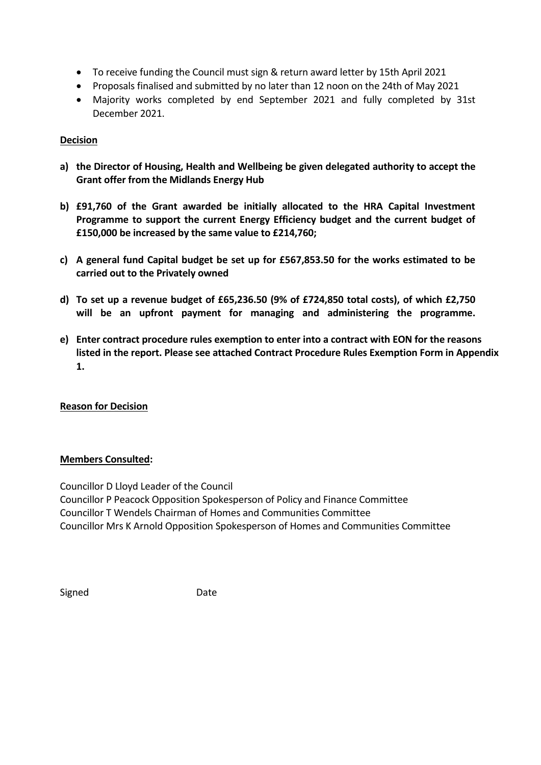- To receive funding the Council must sign & return award letter by 15th April 2021
- Proposals finalised and submitted by no later than 12 noon on the 24th of May 2021
- Majority works completed by end September 2021 and fully completed by 31st December 2021.

# **Decision**

- **a) the Director of Housing, Health and Wellbeing be given delegated authority to accept the Grant offer from the Midlands Energy Hub**
- **b) £91,760 of the Grant awarded be initially allocated to the HRA Capital Investment Programme to support the current Energy Efficiency budget and the current budget of £150,000 be increased by the same value to £214,760;**
- **c) A general fund Capital budget be set up for £567,853.50 for the works estimated to be carried out to the Privately owned**
- **d) To set up a revenue budget of £65,236.50 (9% of £724,850 total costs), of which £2,750 will be an upfront payment for managing and administering the programme.**
- **e) Enter contract procedure rules exemption to enter into a contract with EON for the reasons listed in the report. Please see attached Contract Procedure Rules Exemption Form in Appendix 1.**

## **Reason for Decision**

## **Members Consulted:**

Councillor D Lloyd Leader of the Council Councillor P Peacock Opposition Spokesperson of Policy and Finance Committee Councillor T Wendels Chairman of Homes and Communities Committee Councillor Mrs K Arnold Opposition Spokesperson of Homes and Communities Committee

| enne |
|------|
|------|

Date